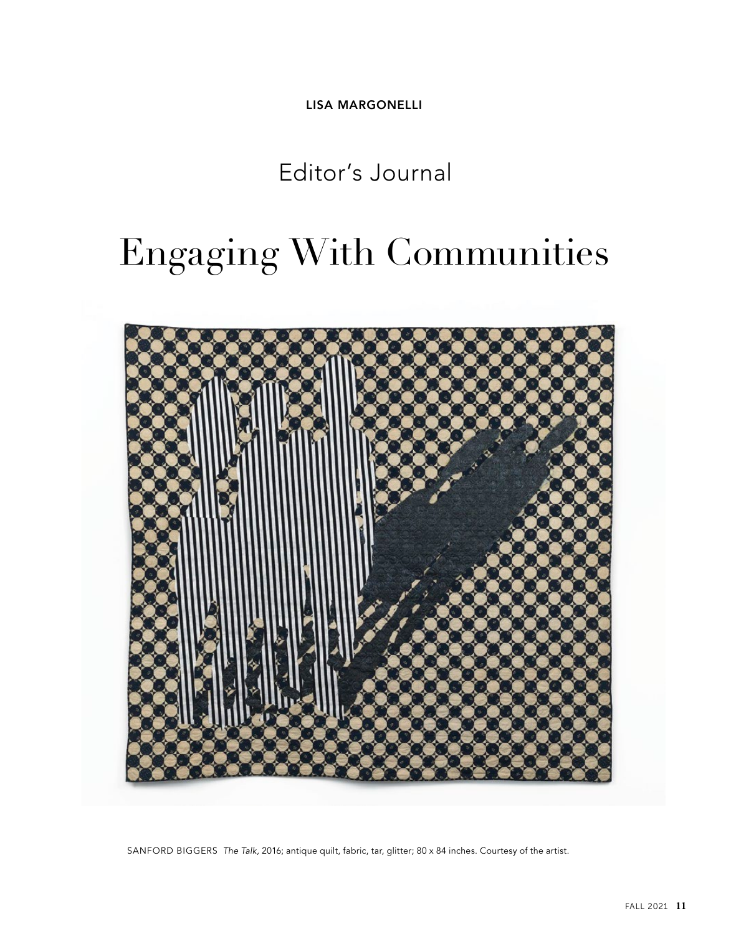**LISA MARGONELLI**

Editor's Journal

## Engaging With Communities



SANFORD BIGGERS *The Talk,* 2016; antique quilt, fabric, tar, glitter; 80 x 84 inches. Courtesy of the artist.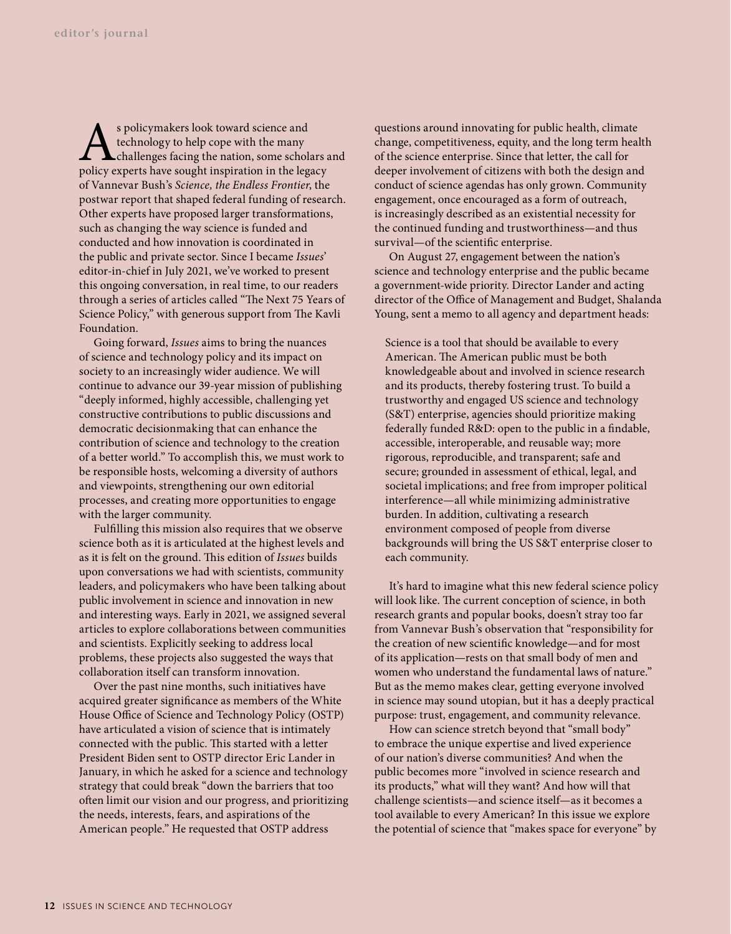s policymakers look toward science and<br>technology to help cope with the many<br>policy experts have sought inspiration in the leg technology to help cope with the many challenges facing the nation, some scholars and policy experts have sought inspiration in the legacy of Vannevar Bush's *Science, the Endless Frontier*, the postwar report that shaped federal funding of research. Other experts have proposed larger transformations, such as changing the way science is funded and conducted and how innovation is coordinated in the public and private sector. Since I became *Issues*' editor-in-chief in July 2021, we've worked to present this ongoing conversation, in real time, to our readers through a series of articles called "The Next 75 Years of Science Policy," with generous support from The Kavli Foundation.

Going forward, *Issues* aims to bring the nuances of science and technology policy and its impact on society to an increasingly wider audience. We will continue to advance our 39-year mission of publishing "deeply informed, highly accessible, challenging yet constructive contributions to public discussions and democratic decisionmaking that can enhance the contribution of science and technology to the creation of a better world." To accomplish this, we must work to be responsible hosts, welcoming a diversity of authors and viewpoints, strengthening our own editorial processes, and creating more opportunities to engage with the larger community.

Fulfilling this mission also requires that we observe science both as it is articulated at the highest levels and as it is felt on the ground. This edition of *Issues* builds upon conversations we had with scientists, community leaders, and policymakers who have been talking about public involvement in science and innovation in new and interesting ways. Early in 2021, we assigned several articles to explore collaborations between communities and scientists. Explicitly seeking to address local problems, these projects also suggested the ways that collaboration itself can transform innovation.

Over the past nine months, such initiatives have acquired greater significance as members of the White House Office of Science and Technology Policy (OSTP) have articulated a vision of science that is intimately connected with the public. This started with a letter President Biden sent to OSTP director Eric Lander in January, in which he asked for a science and technology strategy that could break "down the barriers that too often limit our vision and our progress, and prioritizing the needs, interests, fears, and aspirations of the American people." He requested that OSTP address

questions around innovating for public health, climate change, competitiveness, equity, and the long term health of the science enterprise. Since that letter, the call for deeper involvement of citizens with both the design and conduct of science agendas has only grown. Community engagement, once encouraged as a form of outreach, is increasingly described as an existential necessity for the continued funding and trustworthiness—and thus survival—of the scientific enterprise.

On August 27, engagement between the nation's science and technology enterprise and the public became a government-wide priority. Director Lander and acting director of the Office of Management and Budget, Shalanda Young, sent a memo to all agency and department heads:

Science is a tool that should be available to every American. The American public must be both knowledgeable about and involved in science research and its products, thereby fostering trust. To build a trustworthy and engaged US science and technology (S&T) enterprise, agencies should prioritize making federally funded R&D: open to the public in a findable, accessible, interoperable, and reusable way; more rigorous, reproducible, and transparent; safe and secure; grounded in assessment of ethical, legal, and societal implications; and free from improper political interference—all while minimizing administrative burden. In addition, cultivating a research environment composed of people from diverse backgrounds will bring the US S&T enterprise closer to each community.

It's hard to imagine what this new federal science policy will look like. The current conception of science, in both research grants and popular books, doesn't stray too far from Vannevar Bush's observation that "responsibility for the creation of new scientific knowledge—and for most of its application—rests on that small body of men and women who understand the fundamental laws of nature." But as the memo makes clear, getting everyone involved in science may sound utopian, but it has a deeply practical purpose: trust, engagement, and community relevance.

How can science stretch beyond that "small body" to embrace the unique expertise and lived experience of our nation's diverse communities? And when the public becomes more "involved in science research and its products," what will they want? And how will that challenge scientists—and science itself—as it becomes a tool available to every American? In this issue we explore the potential of science that "makes space for everyone" by